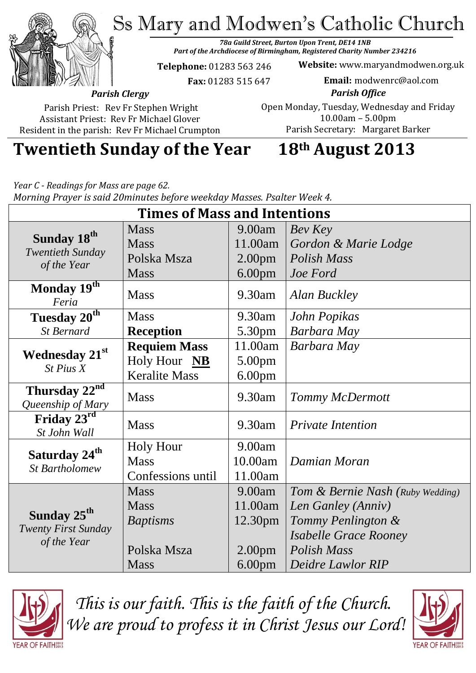Ss Mary and Modwen's Catholic Church

*78a Guild Street, Burton Upon Trent, DE14 1NB Part of the Archdiocese of Birmingham, Registered Charity Number 234216*

**Telephone:** 01283 563 246

 **Fax:** 01283 515 647

**Website:** www.maryandmodwen.org.uk **Email:** modwenrc@aol.com

*Parish Clergy* Parish Priest: Rev Fr Stephen Wright

Assistant Priest: Rev Fr Michael Glover Resident in the parish: Rev Fr Michael Crumpton

*Parish Office* Open Monday, Tuesday, Wednesday and Friday 10.00am – 5.00pm Parish Secretary:Margaret Barker

**Twentieth Sunday of the Year 18th August 2013**

*Year C - Readings for Mass are page 62. Morning Prayer is said 20minutes before weekday Masses. Psalter Week 4.*

| <b>Times of Mass and Intentions</b>                                  |                      |                    |                                  |
|----------------------------------------------------------------------|----------------------|--------------------|----------------------------------|
| Sunday 18 <sup>th</sup><br><b>Twentieth Sunday</b><br>of the Year    | <b>Mass</b>          | 9.00am             | Bev Key                          |
|                                                                      | <b>Mass</b>          | 11.00am            | Gordon & Marie Lodge             |
|                                                                      | Polska Msza          | 2.00 <sub>pm</sub> | <b>Polish Mass</b>               |
|                                                                      | <b>Mass</b>          | 6.00 <sub>pm</sub> | Joe Ford                         |
| Monday 19th<br>Feria                                                 | <b>Mass</b>          | 9.30am             | Alan Buckley                     |
| Tuesday 20 <sup>th</sup>                                             | <b>Mass</b>          | 9.30am             | John Popikas                     |
| <b>St Bernard</b>                                                    | <b>Reception</b>     | 5.30pm             | Barbara May                      |
| <b>Wednesday 21st</b><br>$St$ Pius $X$                               | <b>Requiem Mass</b>  | 11.00am            | Barbara May                      |
|                                                                      | Holy Hour NB         | 5.00 <sub>pm</sub> |                                  |
|                                                                      | <b>Keralite Mass</b> | 6.00 <sub>pm</sub> |                                  |
| Thursday 22 <sup>nd</sup><br>Queenship of Mary                       | <b>Mass</b>          | 9.30am             | <b>Tommy McDermott</b>           |
| Friday 23rd<br>St John Wall                                          | <b>Mass</b>          | 9.30am             | <b>Private Intention</b>         |
| Saturday 24 <sup>th</sup><br><b>St Bartholomew</b>                   | <b>Holy Hour</b>     | 9.00am             |                                  |
|                                                                      | <b>Mass</b>          | 10.00am            | Damian Moran                     |
|                                                                      | Confessions until    | 11.00am            |                                  |
| Sunday 25 <sup>th</sup><br><b>Twenty First Sunday</b><br>of the Year | <b>Mass</b>          | 9.00am             | Tom & Bernie Nash (Ruby Wedding) |
|                                                                      | <b>Mass</b>          | 11.00am            | Len Ganley (Anniv)               |
|                                                                      | <b>Baptisms</b>      | 12.30pm            | Tommy Penlington &               |
|                                                                      |                      |                    | <b>Isabelle Grace Rooney</b>     |
|                                                                      | Polska Msza          | 2.00 <sub>pm</sub> | Polish Mass                      |
|                                                                      | <b>Mass</b>          | 6.00 <sub>pm</sub> | Deidre Lawlor RIP                |



*This is our faith. This is the faith of the Church. We are proud to profess it in Christ Jesus our Lord!*

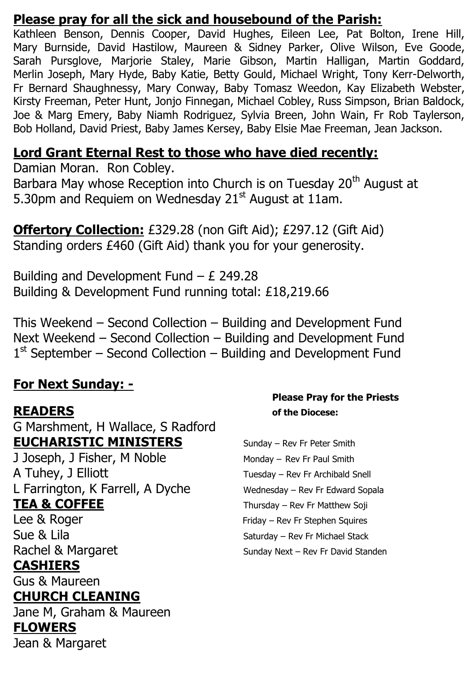### **Please pray for all the sick and housebound of the Parish:**

Kathleen Benson, Dennis Cooper, David Hughes, Eileen Lee, Pat Bolton, Irene Hill, Mary Burnside, David Hastilow, Maureen & Sidney Parker, Olive Wilson, Eve Goode, Sarah Pursglove, Marjorie Staley, Marie Gibson, Martin Halligan, Martin Goddard, Merlin Joseph, Mary Hyde, Baby Katie, Betty Gould, Michael Wright, Tony Kerr-Delworth, Fr Bernard Shaughnessy, Mary Conway, Baby Tomasz Weedon, Kay Elizabeth Webster, Kirsty Freeman, Peter Hunt, Jonjo Finnegan, Michael Cobley, Russ Simpson, Brian Baldock, Joe & Marg Emery, Baby Niamh Rodriguez, Sylvia Breen, John Wain, Fr Rob Taylerson, Bob Holland, David Priest, Baby James Kersey, Baby Elsie Mae Freeman, Jean Jackson.

### **Lord Grant Eternal Rest to those who have died recently:**

Damian Moran. Ron Cobley.

Barbara May whose Reception into Church is on Tuesday 20<sup>th</sup> August at 5.30pm and Requiem on Wednesday  $21<sup>st</sup>$  August at 11am.

**Offertory Collection:** £329.28 (non Gift Aid); £297.12 (Gift Aid) Standing orders £460 (Gift Aid) thank you for your generosity.

Building and Development Fund  $- E$  249.28 Building & Development Fund running total: £18,219.66

This Weekend – Second Collection – Building and Development Fund Next Weekend – Second Collection – Building and Development Fund 1<sup>st</sup> September – Second Collection – Building and Development Fund

## **For Next Sunday: -**

G Marshment, H Wallace, S Radford **EUCHARISTIC MINISTERS** Sunday – Rev Fr Peter Smith J Joseph, J Fisher, M Noble Monday – Rev Fr Paul Smith A Tuhey, J Elliott Tuesday – Rev Fr Archibald Snell

L Farrington, K Farrell, A Dyche Wednesday – Rev Fr Edward Sopala

#### **CASHIERS**

Gus & Maureen

# **CHURCH CLEANING**

Jane M, Graham & Maureen **FLOWERS**  Jean & Margaret

#### **Please Pray for the Priests READERS of the Diocese:**

**TEA & COFFEE** Thursday – Rev Fr Matthew Soji Lee & Roger Friday – Rev Fr Stephen Squires Sue & Lila Sue & Lila Rachel & Margaret Sunday Next – Rev Fr David Standen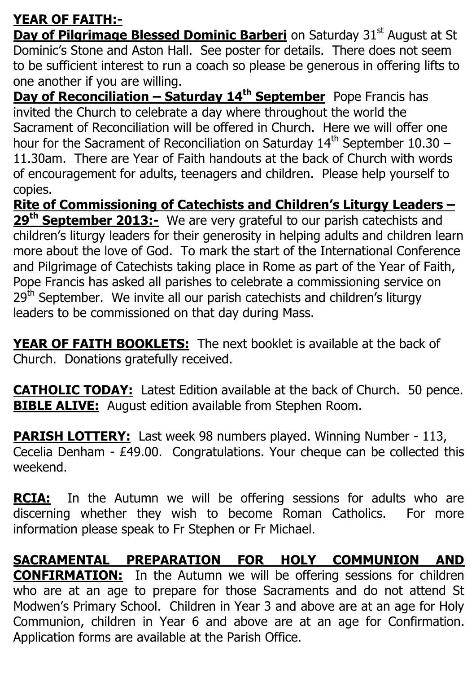# **YEAR OF FAITH:-**

**Day of Pilgrimage Blessed Dominic Barberi** on Saturday 31<sup>st</sup> August at St Dominic's Stone and Aston Hall. See poster for details. There does not seem to be sufficient interest to run a coach so please be generous in offering lifts to one another if you are willing.

**Day of Reconciliation – Saturday 14th September** Pope Francis has invited the Church to celebrate a day where throughout the world the Sacrament of Reconciliation will be offered in Church. Here we will offer one hour for the Sacrament of Reconciliation on Saturday  $14<sup>th</sup>$  September 10.30 – 11.30am. There are Year of Faith handouts at the back of Church with words of encouragement for adults, teenagers and children. Please help yourself to copies.

**Rite of Commissioning of Catechists and Children's Liturgy Leaders –** 29<sup>th</sup> September 2013:- We are very grateful to our parish catechists and children's liturgy leaders for their generosity in helping adults and children learn more about the love of God. To mark the start of the International Conference and Pilgrimage of Catechists taking place in Rome as part of the Year of Faith, Pope Francis has asked all parishes to celebrate a commissioning service on  $29<sup>th</sup>$  September. We invite all our parish catechists and children's liturgy leaders to be commissioned on that day during Mass.

**YEAR OF FAITH BOOKLETS:** The next booklet is available at the back of Church. Donations gratefully received.

**CATHOLIC TODAY:** Latest Edition available at the back of Church. 50 pence. **BIBLE ALIVE:** August edition available from Stephen Room.

**PARISH LOTTERY:** Last week 98 numbers played. Winning Number - 113, Cecelia Denham - £49.00. Congratulations. Your cheque can be collected this weekend.

**RCIA:** In the Autumn we will be offering sessions for adults who are discerning whether they wish to become Roman Catholics. For more information please speak to Fr Stephen or Fr Michael.

**SACRAMENTAL PREPARATION FOR HOLY COMMUNION AND CONFIRMATION:** In the Autumn we will be offering sessions for children who are at an age to prepare for those Sacraments and do not attend St Modwen's Primary School. Children in Year 3 and above are at an age for Holy Communion, children in Year 6 and above are at an age for Confirmation. Application forms are available at the Parish Office.